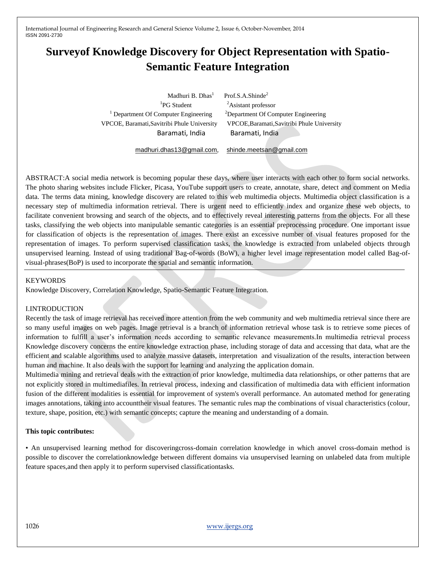# **Surveyof Knowledge Discovery for Object Representation with Spatio-Semantic Feature Integration**

<sup>1</sup>PG Student <sup>1</sup> Department Of Computer Engineering <sup>2</sup>Department Of Computer Engineering VPCOE, Baramati,Savitribi Phule University VPCOE,Baramati,Savitribi Phule University Baramati, India Baramati, India

Madhuri B. Dhas<sup>1</sup> Prof.S.A.Shinde<sup>2</sup>  $A$ sistant professor

[madhuri.dhas13@gmail.com](mailto:madhuri.dhas13@gmail.com), [shinde.meetsan@gmail.com](mailto:dineshbhanhanchate@gmail.com)

ABSTRACT:A social media network is becoming popular these days, where user interacts with each other to form social networks. The photo sharing websites include Flicker, Picasa, YouTube support users to create, annotate, share, detect and comment on Media data. The terms data mining, knowledge discovery are related to this web multimedia objects. Multimedia object classification is a necessary step of multimedia information retrieval. There is urgent need to efficiently index and organize these web objects, to facilitate convenient browsing and search of the objects, and to effectively reveal interesting patterns from the objects. For all these tasks, classifying the web objects into manipulable semantic categories is an essential preprocessing procedure. One important issue for classification of objects is the representation of images. There exist an excessive number of visual features proposed for the representation of images. To perform supervised classification tasks, the knowledge is extracted from unlabeled objects through unsupervised learning. Instead of using traditional Bag-of-words (BoW), a higher level image representation model called Bag-ofvisual-phrases(BoP) is used to incorporate the spatial and semantic information.

#### KEYWORDS

Knowledge Discovery, Correlation Knowledge, Spatio-Semantic Feature Integration.

# I.INTRODUCTION

Recently the task of image retrieval has received more attention from the web community and web multimedia retrieval since there are so many useful images on web pages. Image retrieval is a branch of information retrieval whose task is to retrieve some pieces of information to fulfill a user's information needs according to semantic relevance measurements.In multimedia retrieval process Knowledge discovery concerns the entire knowledge extraction phase, including storage of data and accessing that data, what are the efficient and scalable algorithms used to analyze massive datasets, interpretation and visualization of the results, interaction between human and machine. It also deals with the support for learning and analyzing the application domain.

Multimedia mining and retrieval deals with the extraction of prior knowledge, multimedia data relationships, or other patterns that are not explicitly stored in multimediafiles. In retrieval process, indexing and classification of multimedia data with efficient information fusion of the different modalities is essential for improvement of system's overall performance. An automated method for generating images annotations, taking into accounttheir visual features. The semantic rules map the combinations of visual characteristics (colour, texture, shape, position, etc.) with semantic concepts; capture the meaning and understanding of a domain.

#### **This topic contributes:**

• An unsupervised learning method for discoveringcross-domain correlation knowledge in which anovel cross-domain method is possible to discover the correlationknowledge between different domains via unsupervised learning on unlabeled data from multiple feature spaces,and then apply it to perform supervised classificationtasks.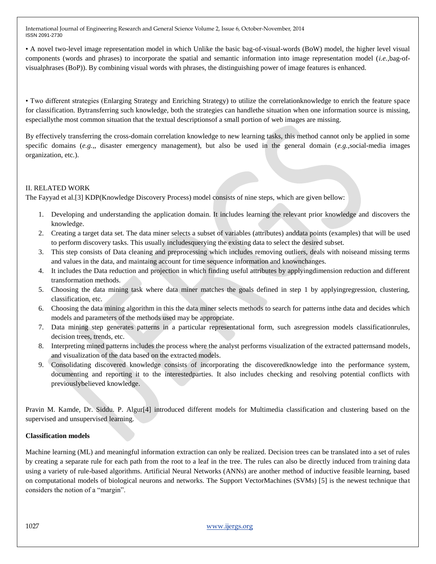• A novel two-level image representation model in which Unlike the basic bag-of-visual-words (BoW) model, the higher level visual components (words and phrases) to incorporate the spatial and semantic information into image representation model (*i.e.,*bag-ofvisualphrases (BoP)). By combining visual words with phrases, the distinguishing power of image features is enhanced.

• Two different strategies (Enlarging Strategy and Enriching Strategy) to utilize the correlationknowledge to enrich the feature space for classification. Bytransferring such knowledge, both the strategies can handlethe situation when one information source is missing, especiallythe most common situation that the textual descriptionsof a small portion of web images are missing.

By effectively transferring the cross-domain correlation knowledge to new learning tasks, this method cannot only be applied in some specific domains (*e.g.,*, disaster emergency management), but also be used in the general domain (*e.g.,*social-media images organization, etc.).

# II. RELATED WORK

The Fayyad et al.[3] KDP(Knowledge Discovery Process) model consists of nine steps, which are given bellow:

- 1. Developing and understanding the application domain. It includes learning the relevant prior knowledge and discovers the knowledge.
- 2. Creating a target data set. The data miner selects a subset of variables (attributes) anddata points (examples) that will be used to perform discovery tasks. This usually includesquerying the existing data to select the desired subset.
- 3. This step consists of Data cleaning and preprocessing which includes removing outliers, deals with noiseand missing terms and values in the data, and maintaing account for time sequence information and knownchanges.
- 4. It includes the Data reduction and projection in which finding useful attributes by applyingdimension reduction and different transformation methods.
- 5. Choosing the data mining task where data miner matches the goals defined in step 1 by applyingregression, clustering, classification, etc.
- 6. Choosing the data mining algorithm in this the data miner selects methods to search for patterns inthe data and decides which models and parameters of the methods used may be appropriate.
- 7. Data mining step generates patterns in a particular representational form, such asregression models classificationrules, decision trees, trends, etc.
- 8. Interpreting mined patterns includes the process where the analyst performs visualization of the extracted patternsand models, and visualization of the data based on the extracted models.
- 9. Consolidating discovered knowledge consists of incorporating the discoveredknowledge into the performance system, documenting and reporting it to the interestedparties. It also includes checking and resolving potential conflicts with previouslybelieved knowledge.

Pravin M. Kamde, Dr. Siddu. P. Algur[4] introduced different models for Multimedia classification and clustering based on the supervised and unsupervised learning.

# **Classification models**

Machine learning (ML) and meaningful information extraction can only be realized. Decision trees can be translated into a set of rules by creating a separate rule for each path from the root to a leaf in the tree. The rules can also be directly induced from training data using a variety of rule-based algorithms. Artificial Neural Networks (ANNs) are another method of inductive feasible learning, based on computational models of biological neurons and networks. The Support VectorMachines (SVMs) [5] is the newest technique that considers the notion of a "margin".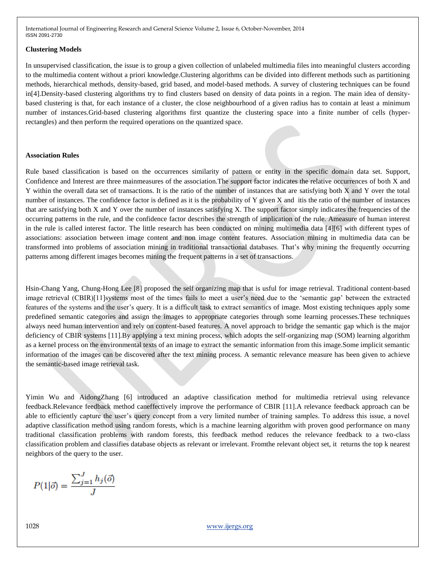#### **Clustering Models**

In unsupervised classification, the issue is to group a given collection of unlabeled multimedia files into meaningful clusters according to the multimedia content without a priori knowledge.Clustering algorithms can be divided into different methods such as partitioning methods, hierarchical methods, density-based, grid based, and model-based methods. A survey of clustering techniques can be found in[4].Density-based clustering algorithms try to find clusters based on density of data points in a region. The main idea of densitybased clustering is that, for each instance of a cluster, the close neighbourhood of a given radius has to contain at least a minimum number of instances.Grid-based clustering algorithms first quantize the clustering space into a finite number of cells (hyperrectangles) and then perform the required operations on the quantized space.

# **Association Rules**

Rule based classification is based on the occurrences similarity of pattern or entity in the specific domain data set. Support, Confidence and Interest are three mainmeasures of the association.The support factor indicates the relative occurrences of both X and Y within the overall data set of transactions. It is the ratio of the number of instances that are satisfying both X and Y over the total number of instances. The confidence factor is defined as it is the probability of Y given X and itis the ratio of the number of instances that are satisfying both X and Y over the number of instances satisfying X. The support factor simply indicates the frequencies of the occurring patterns in the rule, and the confidence factor describes the strength of implication of the rule. Ameasure of human interest in the rule is called interest factor. The little research has been conducted on mining multimedia data [4][6] with different types of associations: association between image content and non image content features. Association mining in multimedia data can be transformed into problems of association mining in traditional transactional databases. That"s why mining the frequently occurring patterns among different images becomes mining the frequent patterns in a set of transactions.

Hsin-Chang Yang, Chung-Hong Lee [8] proposed the self organizing map that is usful for image retrieval. Traditional content-based image retrieval (CBIR)[11]systems most of the times fails to meet a user's need due to the 'semantic gap' between the extracted features of the systems and the user"s query. It is a difficult task to extract semantics of image. Most existing techniques apply some predefined semantic categories and assign the images to appropriate categories through some learning processes.These techniques always need human intervention and rely on content-based features. A novel approach to bridge the semantic gap which is the major deficiency of CBIR systems [11].By applying a text mining process, which adopts the self-organizing map (SOM) learning algorithm as a kernel process on the environmental texts of an image to extract the semantic information from this image.Some implicit semantic information of the images can be discovered after the text mining process. A semantic relevance measure has been given to achieve the semantic-based image retrieval task.

Yimin Wu and AidongZhang [6] introduced an adaptive classification method for multimedia retrieval using relevance feedback.Relevance feedback method caneffectively improve the performance of CBIR [11].A relevance feedback approach can be able to efficiently capture the user"s query concept from a very limited number of training samples. To address this issue, a novel adaptive classification method using random forests, which is a machine learning algorithm with proven good performance on many traditional classification problems with random forests, this feedback method reduces the relevance feedback to a two-class classification problem and classifies database objects as relevant or irrelevant. Fromthe relevant object set, it returns the top k nearest neighbors of the query to the user.

$$
P(1|\vec{o}) = \frac{\sum_{j=1}^{J} h_j(\vec{o})}{J}
$$

1028 www.ijergs.org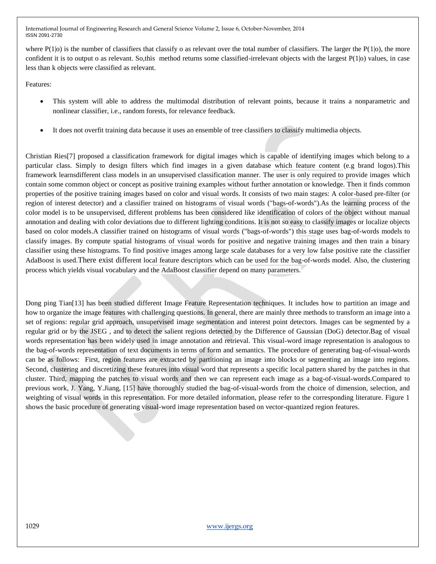where  $P(1|0)$  is the number of classifiers that classify o as relevant over the total number of classifiers. The larger the  $P(1|0)$ , the more confident it is to output o as relevant. So,this method returns some classified-irrelevant objects with the largest  $P(1|o)$  values, in case less than k objects were classified as relevant.

Features:

- This system will able to address the multimodal distribution of relevant points, because it trains a nonparametric and nonlinear classifier, i.e., random forests, for relevance feedback.
- It does not overfit training data because it uses an ensemble of tree classifiers to classify multimedia objects.

Christian Ries[7] proposed a classification framework for digital images which is capable of identifying images which belong to a particular class. Simply to design filters which find images in a given database which feature content (e.g brand logos).This framework learnsdifferent class models in an unsupervised classification manner. The user is only required to provide images which contain some common object or concept as positive training examples without further annotation or knowledge. Then it finds common properties of the positive training images based on color and visual words. It consists of two main stages: A color-based pre-filter (or region of interest detector) and a classifier trained on histograms of visual words ("bags-of-words").As the learning process of the color model is to be unsupervised, different problems has been considered like identification of colors of the object without manual annotation and dealing with color deviations due to different lighting conditions. It is not so easy to classify images or localize objects based on color models.A classifier trained on histograms of visual words ("bags-of-words") this stage uses bag-of-words models to classify images. By compute spatial histograms of visual words for positive and negative training images and then train a binary classifier using these histograms. To find positive images among large scale databases for a very low false positive rate the classifier AdaBoost is used.There exist different local feature descriptors which can be used for the bag-of-words model. Also, the clustering process which yields visual vocabulary and the AdaBoost classifier depend on many parameters.

Dong ping Tian[13] has been studied different Image Feature Representation techniques. It includes how to partition an image and how to organize the image features with challenging questions. In general, there are mainly three methods to transform an image into a set of regions: regular grid approach, unsupervised image segmentation and interest point detectors. Images can be segmented by a regular grid or by the JSEG , and to detect the salient regions detected by the Difference of Gaussian (DoG) detector.Bag of visual words representation has been widely used in image annotation and retrieval. This visual-word image representation is analogous to the bag-of-words representation of text documents in terms of form and semantics. The procedure of generating bag-of-visual-words can be as follows: First, region features are extracted by partitioning an image into blocks or segmenting an image into regions. Second, clustering and discretizing these features into visual word that represents a specific local pattern shared by the patches in that cluster. Third, mapping the patches to visual words and then we can represent each image as a bag-of-visual-words.Compared to previous work, J. Yang, Y.Jiang, [15] have thoroughly studied the bag-of-visual-words from the choice of dimension, selection, and weighting of visual words in this representation. For more detailed information, please refer to the corresponding literature. Figure 1 shows the basic procedure of generating visual-word image representation based on vector-quantized region features.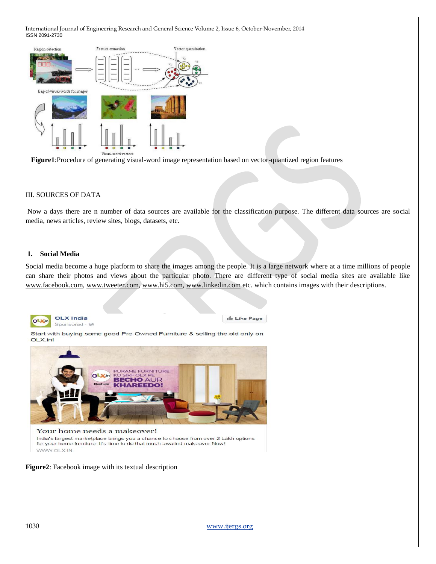

 **Figure1**:Procedure of generating visual-word image representation based on vector-quantized region features

#### III. SOURCES OF DATA

Now a days there are n number of data sources are available for the classification purpose. The different data sources are social media, news articles, review sites, blogs, datasets, etc.

#### **1. Social Media**

Social media become a huge platform to share the images among the people. It is a large network where at a time millions of people can share their photos and views about the particular photo. There are different type of social media sites are available like [www.facebook.com,](http://www.facebook.com/) [www.tweeter.com,](http://www.tweeter.com/) [www.hi5.com,](http://www.hi5.com/) [www.linkedin.com](http://www.linkedin.com/) etc. which contains images with their descriptions.



**OLX** India Sponsored · @ In Like Page

Start with buying some good Pre-Owned Furniture & selling the old only on OLX.in!



**Figure2**: Facebook image with its textual description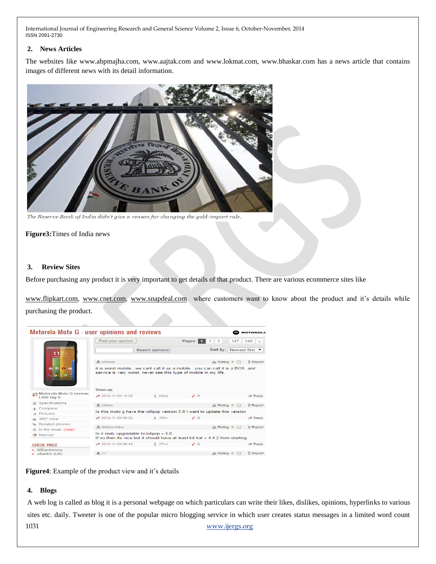# **2. News Articles**

The websites like www.abpmajha.com, www.aajtak.com and www.lokmat.com, www.bhaskar.com has a news article that contains images of different news with its detail information.



The Reserve Bank of India didn't give a reason for changing the gold-import rule.

**Figure3:**Times of India news

#### **3. Review Sites**

Before purchasing any product it is very important to get details of that product. There are various ecommerce sites like

[www.flipkart.com,](http://www.flipkart.com/) [www.cnet.com,](http://www.cnet.com/) [www.snapdeal.com](http://www.snapdeal.com/) where customers want to know about the product and it's details while purchasing the product.

| Motorola Moto G - user opinions and reviews<br><b>MOTOROLA</b> |                                                                                                                                                    |                 |                  |                                                   |                       |
|----------------------------------------------------------------|----------------------------------------------------------------------------------------------------------------------------------------------------|-----------------|------------------|---------------------------------------------------|-----------------------|
| $-0.11$<br>ih.<br>98<br>m<br><b>COL</b>                        | Post your opinion                                                                                                                                  |                 | Pages: 1         | $2 \mid 3 \mid  \mid 347 \mid$                    | $348$ $\sqrt{ }$      |
|                                                                |                                                                                                                                                    | Search opinions |                  | Sort by: Newest first ▼                           |                       |
|                                                                | <b>A</b> srinivas                                                                                                                                  |                 |                  | A Rating 0<br>$\left  \cdot \right $              | <b>Report</b>         |
|                                                                | it is worst mobile, we cant call it as a mobile, you can call it is a BOX, and<br>service is very worst, never see this type of mobile in my life. |                 |                  |                                                   |                       |
|                                                                |                                                                                                                                                    |                 |                  |                                                   |                       |
| ◎ Motorola Moto G review:<br><b>Little big G</b>               | a 2014-11-04 13:23                                                                                                                                 | & KSek          | $\mathbb{Z}^n$ H |                                                   | <b>∉</b> Reply        |
| Specifications                                                 | <b>A.</b> Chintu                                                                                                                                   |                 |                  | <sub>d</sub> <sup>1</sup> Rating 0<br><b>Tara</b> | <b>B</b> Report       |
| Compare<br>str.                                                |                                                                                                                                                    |                 |                  |                                                   |                       |
| Pictures                                                       | Is this moto g have the lollipop version 5.0 I want to update this version                                                                         |                 |                  |                                                   |                       |
| 360° view<br>ଈ                                                 | @ <sup>#</sup> 2014-11-04 08:52                                                                                                                    | $2$ $7$ t $Rx$  | $\bullet^6$ Q    |                                                   | <b><i>S</i></b> Reply |
| & Related phones                                               |                                                                                                                                                    |                 |                  |                                                   |                       |
| In the news (new)<br>目                                         | 息 dhinka chika                                                                                                                                     |                 |                  | $\sqrt{a}$ Rating 0<br>$\Box$                     | <b>g</b> Report       |
| <b>R</b> Manual                                                | Is it realy upgradable to lolipop v 5.0<br>If so then its nice but it should have at least kit kat y 4.4.2 from starting                           |                 |                  |                                                   |                       |
| <b>CHECK PRICE</b>                                             | @ <sup>#</sup> 2014-11-04 08:44                                                                                                                    | 2Tc4            | $a^B$ $Q$        |                                                   | <b><i>S</i></b> Reply |
| $\triangleright$ WElectronics                                  |                                                                                                                                                    |                 |                  |                                                   |                       |
| • uSwitch (UK)                                                 | LA JV                                                                                                                                              |                 |                  | A Rating 0<br><b>The Contract</b>                 | <b>Report</b>         |

**Figure4**: Example of the product view and it's details

# **4. Blogs**

1031 www.ijergs.org A web log is called as blog it is a personal webpage on which particulars can write their likes, dislikes, opinions, hyperlinks to various sites etc. daily. Tweeter is one of the popular micro blogging service in which user creates status messages in a limited word count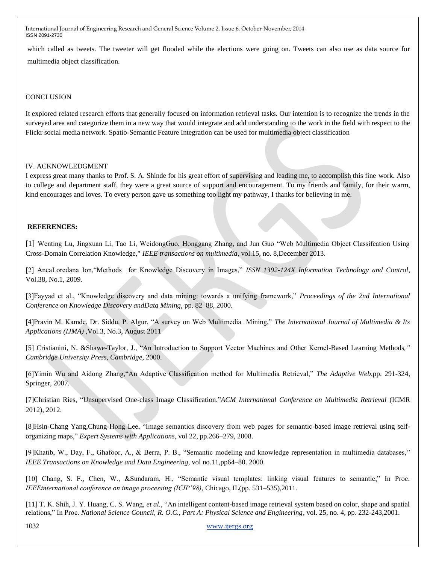which called as tweets. The tweeter will get flooded while the elections were going on. Tweets can also use as data source for multimedia object classification.

#### **CONCLUSION**

It explored related research efforts that generally focused on information retrieval tasks. Our intention is to recognize the trends in the surveyed area and categorize them in a new way that would integrate and add understanding to the work in the field with respect to the Flickr social media network. Spatio-Semantic Feature Integration can be used for multimedia object classification

#### IV. ACKNOWLEDGMENT

I express great many thanks to Prof. S. A. Shinde for his great effort of supervising and leading me, to accomplish this fine work. Also to college and department staff, they were a great source of support and encouragement. To my friends and family, for their warm, kind encourages and loves. To every person gave us something too light my pathway, I thanks for believing in me.

#### **REFERENCES:**

[1] Wenting Lu, Jingxuan Li, Tao Li, WeidongGuo, Honggang Zhang, and Jun Guo "Web Multimedia Object Classifcation Using Cross-Domain Correlation Knowledge," *IEEE transactions on multimedia*, vol.15, no. 8,December 2013.

[2] AncaLoredana Ion,"Methods for Knowledge Discovery in Images," *ISSN 1392-124X Information Technology and Control*, Vol.38, No.1, 2009.

[3]Fayyad et al., "Knowledge discovery and data mining: towards a unifying framework," *Proceedings of the 2nd International Conference on Knowledge Discovery andData Mining*, pp. 82–88, 2000.

[4]Pravin M. Kamde, Dr. Siddu. P. Algur, "A survey on Web Multimedia Mining," *The International Journal of Multimedia & Its Applications (IJMA)* ,Vol.3, No.3, August 2011

[5] Cristianini, N. &Shawe-Taylor, J., "An Introduction to Support Vector Machines and Other Kernel-Based Learning Methods*," Cambridge University Press, Cambridge*, 2000.

[6]Yimin Wu and Aidong Zhang,"An Adaptive Classification method for Multimedia Retrieval," *The Adaptive Web*,pp. 291-324, Springer, 2007.

[7]Christian Ries, "Unsupervised One-class Image Classification,"*ACM International Conference on Multimedia Retrieval* (ICMR 2012), 2012*.*

[8]Hsin-Chang Yang,Chung-Hong Lee, "Image semantics discovery from web pages for semantic-based image retrieval using selforganizing maps," *Expert Systems with Applications*, vol 22, pp.266–279, 2008.

[9]Khatib, W., Day, F., Ghafoor, A., & Berra, P. B., "Semantic modeling and knowledge representation in multimedia databases," *IEEE Transactions on Knowledge and Data Engineering*, vol no.11,pp64–80. 2000.

[10] Chang, S. F., Chen, W., &Sundaram, H., "Semantic visual templates: linking visual features to semantic," In Proc. *IEEEinternational conference on image processing (ICIP'98)*, Chicago, IL(pp. 531–535),2011.

[11] T. K. Shih, J. Y. Huang, C. S. Wang, *et al.*, "An intelligent content-based image retrieval system based on color, shape and spatial relations," In Proc*. National Science Council, R. O.C., Part A: Physical Science and Engineering*, vol. 25, no. 4, pp. 232-243,2001.